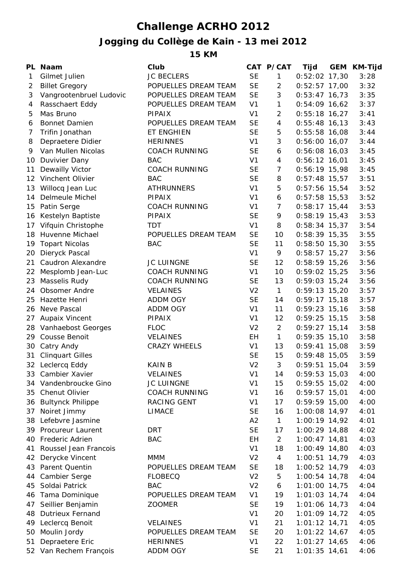## **Challenge ACRHO 2012**

## **Jogging du Collège de Kain - 13 mei 2012**

**15 KM**

|                 | PL Naam                  | Club                 |                | CAT P/CAT      | Tijd            | <b>GEM</b> | <b>KM-Tijd</b> |
|-----------------|--------------------------|----------------------|----------------|----------------|-----------------|------------|----------------|
| 1               | Gilmet Julien            | <b>JC BECLERS</b>    | <b>SE</b>      | $\mathbf{1}$   | $0:52:02$ 17,30 |            | 3:28           |
| 2               | <b>Billet Gregory</b>    | POPUELLES DREAM TEAM | <b>SE</b>      | $\overline{2}$ | $0:52:57$ 17,00 |            | 3:32           |
| 3               | Vangrootenbruel Ludovic  | POPUELLES DREAM TEAM | <b>SE</b>      | 3              | $0:53:47$ 16,73 |            | 3:35           |
| 4               | Rasschaert Eddy          | POPUELLES DREAM TEAM | V <sub>1</sub> | $\mathbf{1}$   | $0:54:09$ 16,62 |            | 3:37           |
| 5               | Mas Bruno                | <b>PIPAIX</b>        | V <sub>1</sub> | $\overline{2}$ | $0:55:18$ 16,27 |            | 3:41           |
| 6               | <b>Bonnet Damien</b>     | POPUELLES DREAM TEAM | <b>SE</b>      | $\overline{4}$ | $0:55:48$ 16,13 |            | 3:43           |
| 7               | Trifin Jonathan          | <b>ET ENGHIEN</b>    | <b>SE</b>      | 5              | $0:55:58$ 16,08 |            | 3:44           |
| 8               | Depraetere Didier        | <b>HERINNES</b>      | V <sub>1</sub> | 3              | $0:56:00$ 16,07 |            | 3:44           |
| 9               | Van Mullen Nicolas       | <b>COACH RUNNING</b> | <b>SE</b>      | 6              | $0:56:08$ 16,03 |            | 3:45           |
| 10              | Duvivier Dany            | <b>BAC</b>           | V <sub>1</sub> | $\overline{4}$ | $0:56:12$ 16,01 |            | 3:45           |
| 11              | Dewailly Victor          | <b>COACH RUNNING</b> | <b>SE</b>      | $\overline{7}$ | $0:56:19$ 15,98 |            | 3:45           |
| 12 <sup>1</sup> | Vinchent Olivier         | <b>BAC</b>           | <b>SE</b>      | 8              | $0:57:48$ 15,57 |            | 3:51           |
| 13              | Willocq Jean Luc         | <b>ATHRUNNERS</b>    | V <sub>1</sub> | 5              | $0:57:56$ 15,54 |            | 3:52           |
| 14              | Delmeule Michel          | <b>PIPAIX</b>        | V <sub>1</sub> | 6              | $0:57:58$ 15,53 |            | 3:52           |
| 15              | Patin Serge              | <b>COACH RUNNING</b> | V <sub>1</sub> | 7              | $0:58:17$ 15,44 |            | 3:53           |
| 16              | Kestelyn Baptiste        | PIPAIX               | <b>SE</b>      | 9              | $0:58:19$ 15,43 |            | 3:53           |
| 17              | Vifquin Christophe       | <b>TDT</b>           | V <sub>1</sub> | 8              | $0:58:34$ 15,37 |            | 3:54           |
| 18              | Huvenne Michael          | POPUELLES DREAM TEAM | <b>SE</b>      | 10             | $0:58:39$ 15,35 |            | 3:55           |
| 19              | <b>Topart Nicolas</b>    | <b>BAC</b>           | <b>SE</b>      | 11             | $0:58:50$ 15,30 |            | 3:55           |
| 20              | Dieryck Pascal           |                      | V <sub>1</sub> | 9              | $0:58:57$ 15,27 |            | 3:56           |
| 21              | Caudron Alexandre        | <b>JC LUINGNE</b>    | <b>SE</b>      | 12             | $0:58:59$ 15,26 |            | 3:56           |
| 22              | Mesplomb Jean-Luc        | <b>COACH RUNNING</b> | V <sub>1</sub> | 10             | $0:59:02$ 15,25 |            | 3:56           |
| 23              | Masselis Rudy            | <b>COACH RUNNING</b> | <b>SE</b>      | 13             | $0:59:03$ 15,24 |            | 3:56           |
| 24.             | Obsomer Andre            | <b>VELAINES</b>      | V <sub>2</sub> | $\mathbf{1}$   | $0:59:13$ 15,20 |            | 3:57           |
| 25              | Hazette Henri            | ADDM OGY             | <b>SE</b>      | 14             | $0:59:17$ 15,18 |            | 3:57           |
| 26              | Neve Pascal              | <b>ADDM OGY</b>      | V <sub>1</sub> | 11             | $0:59:23$ 15,16 |            | 3:58           |
| 27              | Aupaix Vincent           | <b>PIPAIX</b>        | V <sub>1</sub> | 12             | $0:59:25$ 15,15 |            | 3:58           |
| 28              | Vanhaebost Georges       | <b>FLOC</b>          | V <sub>2</sub> | $\overline{c}$ | $0:59:27$ 15,14 |            | 3:58           |
| 29              | <b>Cousse Benoit</b>     | <b>VELAINES</b>      | EH             | $\mathbf{1}$   | $0:59:35$ 15,10 |            | 3:58           |
| 30              | Catry Andy               | <b>CRAZY WHEELS</b>  | V <sub>1</sub> | 13             | $0:59:41$ 15,08 |            | 3:59           |
| 31              | <b>Clinquart Gilles</b>  |                      | <b>SE</b>      | 15             | $0:59:48$ 15,05 |            | 3:59           |
|                 | 32 Leclercq Eddy         | <b>KAIN B</b>        | V <sub>2</sub> | 3              | $0:59:51$ 15,04 |            | 3:59           |
| 33              | Cambier Xavier           | <b>VELAINES</b>      | V <sub>1</sub> | 14             | $0:59:53$ 15,03 |            | 4:00           |
| 34              | Vandenbroucke Gino       | JC LUINGNE           | V <sub>1</sub> | 15             | $0:59:55$ 15,02 |            | 4:00           |
| 35              | <b>Chenut Olivier</b>    | <b>COACH RUNNING</b> | V <sub>1</sub> | 16             | $0:59:57$ 15,01 |            | 4:00           |
| 36              | <b>Bultynck Philippe</b> | RACING GENT          | V <sub>1</sub> | 17             | $0:59:59$ 15,00 |            | 4:00           |
| 37              | Noiret Jimmy             | <b>LIMACE</b>        | <b>SE</b>      | 16             | 1:00:08 14,97   |            | 4:01           |
| 38              | Lefebvre Jasmine         |                      | A2             | $\mathbf{1}$   | 1:00:19 14,92   |            | 4:01           |
|                 | 39 Procureur Laurent     | <b>DRT</b>           | <b>SE</b>      | 17             | $1:00:29$ 14,88 |            | 4:02           |
| 40.             | <b>Frederic Adrien</b>   | <b>BAC</b>           | EH             | 2              | $1:00:47$ 14,81 |            | 4:03           |
| 41              | Roussel Jean Francois    |                      | V <sub>1</sub> | 18             | 1:00:49 14,80   |            | 4:03           |
| 42              | Derycke Vincent          | <b>MMM</b>           | V <sub>2</sub> | $\overline{4}$ | $1:00:51$ 14,79 |            | 4:03           |
| 43              | Parent Quentin           | POPUELLES DREAM TEAM | <b>SE</b>      | 18             | 1:00:52 14,79   |            | 4:03           |
| 44              | Cambier Serge            | <b>FLOBECQ</b>       | V <sub>2</sub> | 5              | $1:00:54$ 14,78 |            | 4:04           |
| 45              | Soldai Patrick           | <b>BAC</b>           | V <sub>2</sub> | 6              | $1:01:00$ 14,75 |            | 4:04           |
| 46              | Tama Dominique           | POPUELLES DREAM TEAM | V <sub>1</sub> | 19             | $1:01:03$ 14,74 |            | 4:04           |
| 47              | Seillier Benjamin        | <b>ZOOMER</b>        | <b>SE</b>      | 19             | $1:01:06$ 14,73 |            | 4:04           |
| 48              | <b>Dutrieux Fernand</b>  |                      | V <sub>1</sub> | 20             | $1:01:09$ 14,72 |            | 4:05           |
| 49              | Leclercq Benoit          | <b>VELAINES</b>      | V <sub>1</sub> | 21             | $1:01:12$ 14,71 |            | 4:05           |
| 50              | Moulin Jordy             | POPUELLES DREAM TEAM | <b>SE</b>      | 20             | $1:01:22$ 14,67 |            | 4:05           |
| 51              | Depraetere Eric          | <b>HERINNES</b>      | V <sub>1</sub> | 22             | $1:01:27$ 14,65 |            | 4:06           |
|                 | 52 Van Rechem François   | <b>ADDM OGY</b>      | <b>SE</b>      | 21             | $1:01:35$ 14,61 |            | 4:06           |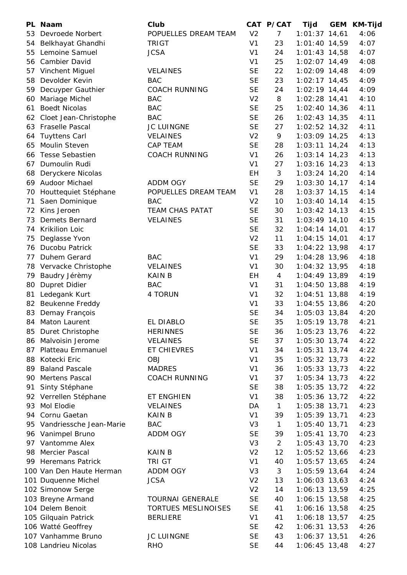| PL | Naam                     | Club                    |                | CAT P/CAT      | Tijd            | <b>GEM</b> | <b>KM-Tijd</b> |
|----|--------------------------|-------------------------|----------------|----------------|-----------------|------------|----------------|
| 53 | Devroede Norbert         | POPUELLES DREAM TEAM    | V <sub>2</sub> | $\overline{7}$ | $1:01:37$ 14,61 |            | 4:06           |
| 54 | Belkhayat Ghandhi        | <b>TRIGT</b>            | V <sub>1</sub> | 23             | $1:01:40$ 14,59 |            | 4:07           |
| 55 | Lemoine Samuel           | <b>JCSA</b>             | V <sub>1</sub> | 24             | $1:01:43$ 14,58 |            | 4:07           |
| 56 | Cambier David            |                         | V <sub>1</sub> | 25             | $1:02:07$ 14,49 |            | 4:08           |
| 57 | Vinchent Miguel          | <b>VELAINES</b>         | <b>SE</b>      | 22             | 1:02:09 14,48   |            | 4:09           |
| 58 | Devolder Kevin           | <b>BAC</b>              | <b>SE</b>      | 23             | $1:02:17$ 14,45 |            | 4:09           |
| 59 | Decuyper Gauthier        | <b>COACH RUNNING</b>    | <b>SE</b>      | 24             | $1:02:19$ 14,44 |            | 4:09           |
| 60 | Mariage Michel           | <b>BAC</b>              | V <sub>2</sub> | 8              | $1:02:28$ 14,41 |            | 4:10           |
| 61 | <b>Boedt Nicolas</b>     | <b>BAC</b>              | <b>SE</b>      | 25             | $1:02:40$ 14,36 |            | 4:11           |
| 62 | Cloet Jean-Christophe    | <b>BAC</b>              | <b>SE</b>      | 26             | $1:02:43$ 14,35 |            | 4:11           |
| 63 | Fraselle Pascal          | <b>JC LUINGNE</b>       | <b>SE</b>      | 27             | $1:02:52$ 14,32 |            | 4:11           |
| 64 | <b>Tuyttens Carl</b>     | <b>VELAINES</b>         | V <sub>2</sub> | 9              | $1:03:09$ 14,25 |            | 4:13           |
| 65 | Moulin Steven            | <b>CAP TEAM</b>         | <b>SE</b>      | 28             | $1:03:11$ 14,24 |            | 4:13           |
| 66 | <b>Tesse Sebastien</b>   | <b>COACH RUNNING</b>    | V <sub>1</sub> | 26             | $1:03:14$ 14,23 |            | 4:13           |
| 67 | Dumoulin Rudi            |                         | V <sub>1</sub> | 27             | $1:03:16$ 14,23 |            | 4:13           |
| 68 | Deryckere Nicolas        |                         | EH             | 3              | $1:03:24$ 14,20 |            | 4:14           |
| 69 | <b>Audoor Michael</b>    | <b>ADDM OGY</b>         | <b>SE</b>      | 29             | $1:03:30$ 14,17 |            | 4:14           |
| 70 | Houttequiet Stéphane     | POPUELLES DREAM TEAM    | V <sub>1</sub> | 28             | $1:03:37$ 14,15 |            | 4:14           |
| 71 | Saen Dominique           | <b>BAC</b>              | V <sub>2</sub> | 10             | $1:03:40$ 14,14 |            | 4:15           |
| 72 | Kins Jeroen              | <b>TEAM CHAS PATAT</b>  | <b>SE</b>      | 30             | $1:03:42$ 14,13 |            | 4:15           |
| 73 | <b>Demets Bernard</b>    | <b>VELAINES</b>         | <b>SE</b>      | 31             | $1:03:49$ 14,10 |            | 4:15           |
| 74 | Krikilion Loic           |                         | <b>SE</b>      | 32             | $1:04:14$ 14,01 |            | 4:17           |
| 75 | Deglasse Yvon            |                         | V <sub>2</sub> | 11             | $1:04:15$ 14,01 |            | 4:17           |
| 76 | Ducobu Patrick           |                         | <b>SE</b>      | 33             | $1:04:22$ 13,98 |            | 4:17           |
| 77 | Duhem Gerard             | <b>BAC</b>              | V <sub>1</sub> | 29             | $1:04:28$ 13,96 |            | 4:18           |
| 78 | Vervacke Christophe      | <b>VELAINES</b>         | V <sub>1</sub> | 30             | 1:04:32 13,95   |            | 4:18           |
| 79 | Baudry Jérèmy            | <b>KAIN B</b>           | EH             | 4              | 1:04:49 13,89   |            | 4:19           |
| 80 | <b>Dupret Didier</b>     | <b>BAC</b>              | V <sub>1</sub> | 31             | $1:04:50$ 13,88 |            | 4:19           |
| 81 | Ledegank Kurt            | 4 TORUN                 | V <sub>1</sub> | 32             | $1:04:51$ 13,88 |            | 4:19           |
| 82 | Beukenne Freddy          |                         | V <sub>1</sub> | 33             | $1:04:55$ 13,86 |            | 4:20           |
| 83 | Demay François           |                         | <b>SE</b>      | 34             | 1:05:03 13,84   |            | 4:20           |
| 84 | Maton Laurent            | EL DIABLO               | <b>SE</b>      | 35             | 1:05:19 13,78   |            | 4:21           |
| 85 | Duret Christophe         | <b>HERINNES</b>         | <b>SE</b>      | 36             | $1:05:23$ 13,76 |            | 4:22           |
| 86 | Malvoisin Jerome         | <b>VELAINES</b>         | <b>SE</b>      | 37             | 1:05:30 13,74   |            | 4:22           |
| 87 | Platteau Emmanuel        | ET CHIEVRES             | V <sub>1</sub> | 34             | 1:05:31 13,74   |            | 4:22           |
| 88 | Kotecki Eric             | <b>OBJ</b>              | V <sub>1</sub> | 35             | $1:05:32$ 13,73 |            | 4:22           |
| 89 | <b>Baland Pascale</b>    | <b>MADRES</b>           | V <sub>1</sub> | 36             | $1:05:33$ 13,73 |            | 4:22           |
| 90 | Mertens Pascal           | <b>COACH RUNNING</b>    | V <sub>1</sub> | 37             | $1:05:34$ 13,73 |            | 4:22           |
| 91 | Sinty Stéphane           |                         | <b>SE</b>      | 38             | $1:05:35$ 13,72 |            | 4:22           |
|    | 92 Verrellen Stéphane    | ET ENGHIEN              | V <sub>1</sub> | 38             | 1:05:36 13,72   |            | 4:22           |
| 93 | Mol Elodie               | <b>VELAINES</b>         | DA             | $\mathbf{1}$   | 1:05:38 13,71   |            | 4:23           |
| 94 | Cornu Gaetan             | <b>KAIN B</b>           | V <sub>1</sub> | 39             | $1:05:39$ 13,71 |            | 4:23           |
| 95 | Vandriessche Jean-Marie  | <b>BAC</b>              | V <sub>3</sub> | $\mathbf{1}$   | 1:05:40 13,71   |            | 4:23           |
| 96 | Vanimpel Bruno           | ADDM OGY                | <b>SE</b>      | 39             | 1:05:41 13,70   |            | 4:23           |
| 97 | Vantomme Alex            |                         | V <sub>3</sub> | $\overline{2}$ | 1:05:43 13,70   |            | 4:23           |
| 98 | Mercier Pascal           | <b>KAIN B</b>           | V <sub>2</sub> | 12             | 1:05:52 13,66   |            | 4:23           |
|    | 99 Heremans Patrick      | TRI GT                  | V <sub>1</sub> | 40             | 1:05:57 13,65   |            | 4:24           |
|    | 100 Van Den Haute Herman | <b>ADDM OGY</b>         | V <sub>3</sub> | 3              | 1:05:59 13,64   |            | 4:24           |
|    | 101 Duquenne Michel      | <b>JCSA</b>             | V <sub>2</sub> | 13             | $1:06:03$ 13,63 |            | 4:24           |
|    | 102 Simonow Serge        |                         | V <sub>2</sub> | 14             | 1:06:13 13,59   |            | 4:25           |
|    | 103 Breyne Armand        | <b>TOURNAI GENERALE</b> | <b>SE</b>      | 40             | $1:06:15$ 13,58 |            | 4:25           |
|    | 104 Delem Benoit         | TORTUES MESLINOISES     | <b>SE</b>      | 41             | 1:06:16 13,58   |            | 4:25           |
|    | 105 Gilquain Patrick     | <b>BERLIERE</b>         | V <sub>1</sub> | 41             | 1:06:18 13,57   |            | 4:25           |
|    | 106 Watté Geoffrey       |                         | <b>SE</b>      | 42             | $1:06:31$ 13,53 |            | 4:26           |
|    | 107 Vanhamme Bruno       | <b>JC LUINGNE</b>       | <b>SE</b>      | 43             | $1:06:37$ 13,51 |            | 4:26           |
|    | 108 Landrieu Nicolas     | <b>RHO</b>              | <b>SE</b>      | 44             | 1:06:45 13,48   |            | 4:27           |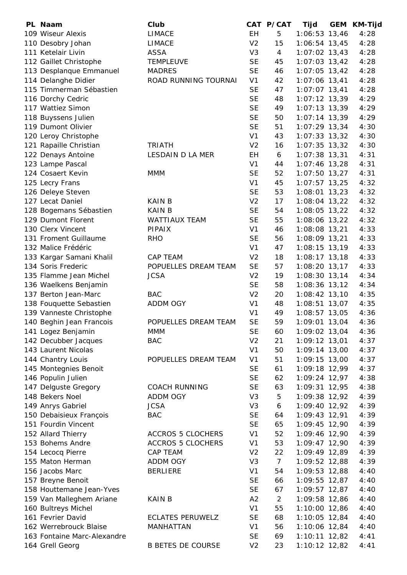| PL Naam                     | Club                     |                | CAT P/CAT      | Tijd              | GEM KM-Tijd |
|-----------------------------|--------------------------|----------------|----------------|-------------------|-------------|
| 109 Wiseur Alexis           | <b>LIMACE</b>            | <b>EH</b>      | 5              | $1:06:53$ 13,46   | 4:28        |
| 110 Desobry Johan           | <b>LIMACE</b>            | V <sub>2</sub> | 15             | 1:06:54 13,45     | 4:28        |
| 111 Ketelair Livin          | ASSA                     | V <sub>3</sub> | $\overline{4}$ | $1:07:02$ 13,43   | 4:28        |
| 112 Gaillet Christophe      | <b>TEMPLEUVE</b>         | <b>SE</b>      | 45             | $1:07:03$ 13,42   | 4:28        |
| 113 Desplanque Emmanuel     | <b>MADRES</b>            | <b>SE</b>      | 46             | $1:07:05$ 13,42   | 4:28        |
| 114 Delanghe Didier         | ROAD RUNNING TOURNAI     | V <sub>1</sub> | 42             | $1:07:06$ 13,41   | 4:28        |
| 115 Timmerman Sébastien     |                          | <b>SE</b>      | 47             | $1:07:07$ 13,41   | 4:28        |
| 116 Dorchy Cedric           |                          | <b>SE</b>      | 48             | $1:07:12$ 13,39   | 4:29        |
| 117 Wattiez Simon           |                          | <b>SE</b>      | 49             | $1:07:13$ 13,39   | 4:29        |
| 118 Buyssens Julien         |                          | <b>SE</b>      | 50             | $1:07:14$ 13,39   | 4:29        |
| 119 Dumont Olivier          |                          | <b>SE</b>      | 51             | $1:07:29$ 13,34   | 4:30        |
| 120 Leroy Christophe        |                          | V <sub>1</sub> | 43             | $1:07:33$ 13,32   | 4:30        |
| 121 Rapaille Christian      | <b>TRIATH</b>            | V <sub>2</sub> | 16             | $1:07:35$ 13,32   | 4:30        |
| 122 Denays Antoine          | LESDAIN D LA MER         | EH             | 6              | $1:07:38$ 13,31   | 4:31        |
| 123 Lampe Pascal            |                          | V <sub>1</sub> | 44             | $1:07:46$ 13,28   | 4:31        |
| 124 Cosaert Kevin           | <b>MMM</b>               | <b>SE</b>      | 52             | $1:07:50$ 13,27   | 4:31        |
| 125 Lecry Frans             |                          | V <sub>1</sub> | 45             | $1:07:57$ 13,25   | 4:32        |
| 126 Deleye Steven           |                          | <b>SE</b>      | 53             | $1:08:01$ 13,23   | 4:32        |
| 127 Lecat Daniel            | <b>KAIN B</b>            | V <sub>2</sub> | 17             | $1:08:04$ 13,22   | 4:32        |
| 128 Bogemans Sébastien      | <b>KAIN B</b>            | <b>SE</b>      | 54             | $1:08:05$ 13,22   | 4:32        |
| 129 Dumont Florent          | <b>WATTIAUX TEAM</b>     | <b>SE</b>      | 55             | 1:08:06 13,22     | 4:32        |
| 130 Clerx Vincent           | <b>PIPAIX</b>            | V <sub>1</sub> | 46             | $1:08:08$ 13,21   | 4:33        |
| 131 Froment Guillaume       | <b>RHO</b>               | <b>SE</b>      | 56             | 1:08:09 13,21     | 4:33        |
| 132 Malice Frédéric         |                          | V <sub>1</sub> | 47             | $1:08:15$ 13,19   | 4:33        |
| 133 Kargar Samani Khalil    | <b>CAP TEAM</b>          | V <sub>2</sub> | 18             | $1:08:17$ 13,18   | 4:33        |
| 134 Soris Frederic          | POPUELLES DREAM TEAM     | <b>SE</b>      | 57             | 1:08:20 13,17     | 4:33        |
| 135 Flamme Jean Michel      | <b>JCSA</b>              | V <sub>2</sub> | 19             | $1:08:30$ 13,14   | 4:34        |
| 136 Waelkens Benjamin       |                          | <b>SE</b>      | 58             | 1:08:36 13,12     | 4:34        |
| 137 Berton Jean-Marc        | <b>BAC</b>               | V <sub>2</sub> | 20             | $1:08:42$ 13,10   | 4:35        |
| 138 Fouquette Sebastien     | ADDM OGY                 | V <sub>1</sub> | 48             | $1:08:51$ 13,07   | 4:35        |
| 139 Vanneste Christophe     |                          | V <sub>1</sub> | 49             | $1:08:57$ 13,05   | 4:36        |
| 140 Beghin Jean Francois    | POPUELLES DREAM TEAM     | <b>SE</b>      | 59             | 1:09:01 13,04     | 4:36        |
| 141 Logez Benjamin          | <b>MMM</b>               | <b>SE</b>      | 60             | 1:09:02 13,04     | 4:36        |
| 142 Decubber Jacques        | <b>BAC</b>               | V <sub>2</sub> | 21             | 1:09:12 13,01     | 4:37        |
| 143 Laurent Nicolas         |                          | V <sub>1</sub> | 50             | $1:09:14$ 13,00   | 4:37        |
| 144 Chantry Louis           | POPUELLES DREAM TEAM     | V <sub>1</sub> | 51             | 1:09:15 13,00     | 4:37        |
| 145 Montegnies Benoit       |                          | <b>SE</b>      | 61             | 1:09:18 12,99     | 4:37        |
| 146 Populin Julien          |                          | <b>SE</b>      | 62             | 1:09:24 12,97     | 4:38        |
| 147 Delguste Gregory        | <b>COACH RUNNING</b>     | <b>SE</b>      | 63             | 1:09:31 12,95     | 4:38        |
| 148 Bekers Noel             | <b>ADDM OGY</b>          | V <sub>3</sub> | 5              | 1:09:38 12,92     | 4:39        |
| 149 Anrys Gabriel           | <b>JCSA</b>              | V <sub>3</sub> | 6              | 1:09:40 12,92     | 4:39        |
| 150 Debaisieux François     | <b>BAC</b>               | <b>SE</b>      | 64             | 1:09:43 12,91     | 4:39        |
| 151 Fourdin Vincent         |                          | <b>SE</b>      | 65             | 1:09:45 12,90     | 4:39        |
| 152 Allard Thierry          | <b>ACCROS 5 CLOCHERS</b> | V <sub>1</sub> | 52             | 1:09:46 12,90     | 4:39        |
| 153 Bohems Andre            | <b>ACCROS 5 CLOCHERS</b> | V <sub>1</sub> | 53             | 1:09:47 12,90     | 4:39        |
| 154 Lecocq Pierre           | CAP TEAM                 | V <sub>2</sub> | 22             | 1:09:49 12,89     | 4:39        |
| 155 Maton Herman            | ADDM OGY                 | V <sub>3</sub> | $\overline{7}$ | 1:09:52 12,88     | 4:39        |
| 156 Jacobs Marc             | <b>BERLIERE</b>          | V <sub>1</sub> | 54             | 1:09:53 12,88     | 4:40        |
| 157 Breyne Benoit           |                          | <b>SE</b>      | 66             | 1:09:55 12,87     | 4:40        |
| 158 Houttemane Jean-Yves    |                          | <b>SE</b>      | 67             | 1:09:57 12,87     | 4:40        |
| 159 Van Malleghem Ariane    | <b>KAIN B</b>            | A2             | 2              | 1:09:58 12,86     | 4:40        |
| 160 Bultreys Michel         |                          | V <sub>1</sub> | 55             | 1:10:00 12,86     | 4:40        |
| 161 Fevrier David           | <b>ECLATES PERUWELZ</b>  | <b>SE</b>      | 68             | 1:10:05 12,84     | 4:40        |
| 162 Werrebrouck Blaise      | MANHATTAN                | V <sub>1</sub> | 56             | 1:10:06 12,84     | 4:40        |
| 163 Fontaine Marc-Alexandre |                          | <b>SE</b>      | 69             | $1:10:11$ $12,82$ | 4:41        |
| 164 Grell Georg             | <b>B BETES DE COURSE</b> | V <sub>2</sub> | 23             | 1:10:12 12,82     | 4:41        |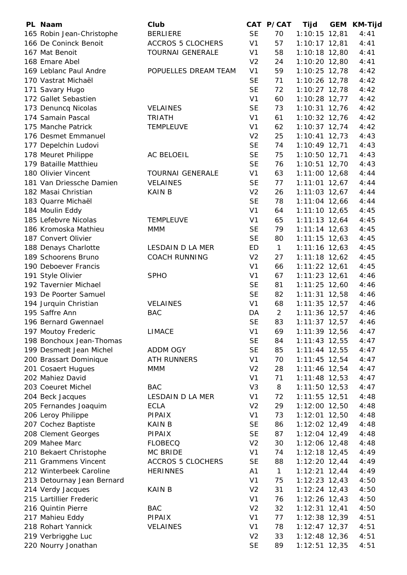| PL Naam                    | Club                     |                             | CAT P/CAT      | Tijd            | <b>GEM</b> | <b>KM-Tijd</b> |
|----------------------------|--------------------------|-----------------------------|----------------|-----------------|------------|----------------|
| 165 Robin Jean-Christophe  | <b>BERLIERE</b>          | <b>SE</b>                   | 70             | $1:10:15$ 12,81 |            | 4:41           |
| 166 De Coninck Benoit      | <b>ACCROS 5 CLOCHERS</b> | V <sub>1</sub>              | 57             | $1:10:17$ 12,81 |            | 4:41           |
| 167 Mat Benoit             | <b>TOURNAI GENERALE</b>  | V <sub>1</sub>              | 58             | $1:10:18$ 12,80 |            | 4:41           |
| 168 Emare Abel             |                          | V <sub>2</sub>              | 24             | $1:10:20$ 12,80 |            | 4:41           |
| 169 Leblanc Paul Andre     | POPUELLES DREAM TEAM     | V <sub>1</sub>              | 59             | $1:10:25$ 12,78 |            | 4:42           |
| 170 Vastrat Michaël        |                          | <b>SE</b>                   | 71             | 1:10:26 12,78   |            | 4:42           |
| 171 Savary Hugo            |                          | <b>SE</b>                   | 72             | $1:10:27$ 12,78 |            | 4:42           |
| 172 Gallet Sebastien       |                          | V <sub>1</sub>              | 60             | $1:10:28$ 12,77 |            | 4:42           |
| 173 Denuncq Nicolas        | <b>VELAINES</b>          | <b>SE</b>                   | 73             | $1:10:31$ 12,76 |            | 4:42           |
| 174 Samain Pascal          | <b>TRIATH</b>            | V <sub>1</sub>              | 61             | $1:10:32$ 12,76 |            | 4:42           |
| 175 Manche Patrick         | <b>TEMPLEUVE</b>         | V <sub>1</sub>              | 62             | $1:10:37$ 12,74 |            | 4:42           |
| 176 Desmet Emmanuel        |                          | V <sub>2</sub>              | 25             | $1:10:41$ 12,73 |            | 4:43           |
| 177 Depelchin Ludovi       |                          | <b>SE</b>                   | 74             | 1:10:49 12,71   |            | 4:43           |
| 178 Meuret Philippe        | AC BELOEIL               | <b>SE</b>                   | 75             | 1:10:50 12,71   |            | 4:43           |
| 179 Bataille Matthieu      |                          | <b>SE</b>                   | 76             | $1:10:51$ 12,70 |            | 4:43           |
| 180 Olivier Vincent        | <b>TOURNAI GENERALE</b>  | V <sub>1</sub>              | 63             | $1:11:00$ 12,68 |            | 4:44           |
| 181 Van Driessche Damien   | <b>VELAINES</b>          | <b>SE</b>                   | 77             | $1:11:01$ 12,67 |            | 4:44           |
| 182 Masai Christian        | <b>KAIN B</b>            | V <sub>2</sub>              | 26             | $1:11:03$ 12,67 |            | 4:44           |
| 183 Quarre Michaël         |                          | <b>SE</b>                   | 78             | $1:11:04$ 12,66 |            | 4:44           |
| 184 Moulin Eddy            |                          | V <sub>1</sub>              | 64             | $1:11:10$ 12,65 |            | 4:45           |
| 185 Lefebvre Nicolas       | <b>TEMPLEUVE</b>         | V <sub>1</sub>              | 65             | $1:11:13$ 12,64 |            | 4:45           |
| 186 Kromoska Mathieu       | <b>MMM</b>               | <b>SE</b>                   | 79             | $1:11:14$ 12,63 |            | 4:45           |
| 187 Convert Olivier        |                          | <b>SE</b>                   | 80             | $1:11:15$ 12,63 |            | 4:45           |
| 188 Denays Charlotte       | LESDAIN D LA MER         | <b>ED</b>                   | $\mathbf{1}$   | $1:11:16$ 12,63 |            | 4:45           |
| 189 Schoorens Bruno        | <b>COACH RUNNING</b>     | V <sub>2</sub>              | 27             | $1:11:18$ 12,62 |            | 4:45           |
| 190 Deboever Francis       |                          | V <sub>1</sub>              | 66             | $1:11:22$ 12,61 |            | 4:45           |
| 191 Style Olivier          | <b>SPHO</b>              | V <sub>1</sub>              | 67             | $1:11:23$ 12,61 |            | 4:46           |
| 192 Tavernier Michael      |                          | <b>SE</b>                   | 81             | $1:11:25$ 12,60 |            | 4:46           |
| 193 De Poorter Samuel      |                          | <b>SE</b>                   | 82             | $1:11:31$ 12,58 |            | 4:46           |
| 194 Jurquin Christian      | <b>VELAINES</b>          | V <sub>1</sub>              | 68             | $1:11:35$ 12,57 |            | 4:46           |
| 195 Saffre Ann             | <b>BAC</b>               | DA                          | $\overline{2}$ | $1:11:36$ 12,57 |            | 4:46           |
| 196 Bernard Gwennael       |                          | <b>SE</b>                   | 83             | $1:11:37$ 12,57 |            | 4:46           |
| 197 Moutoy Frederic        | <b>LIMACE</b>            | V <sub>1</sub>              | 69             | $1:11:39$ 12,56 |            | 4:47           |
| 198 Bonchoux Jean-Thomas   |                          | <b>SE</b>                   | 84             | $1:11:43$ 12,55 |            | 4:47           |
| 199 Desmedt Jean Michel    | ADDM OGY                 | <b>SE</b>                   | 85             | $1:11:44$ 12,55 |            | 4:47           |
| 200 Brassart Dominique     | <b>ATH RUNNERS</b>       | V <sub>1</sub>              | 70             | $1:11:45$ 12,54 |            | 4:47           |
| 201 Cosaert Hugues         | <b>MMM</b>               | V <sub>2</sub>              | 28             | $1:11:46$ 12,54 |            | 4:47           |
| 202 Mahiez David           |                          | V <sub>1</sub>              | 71             | $1:11:48$ 12,53 |            | 4:47           |
| 203 Coeuret Michel         | <b>BAC</b>               | V <sub>3</sub>              | 8              | $1:11:50$ 12,53 |            | 4:47           |
| 204 Beck Jacques           | LESDAIN D LA MER         | V <sub>1</sub>              | 72             | $1:11:55$ 12,51 |            | 4:48           |
| 205 Fernandes Joaquim      | <b>ECLA</b>              | V <sub>2</sub>              | 29             | 1:12:00 12,50   |            | 4:48           |
| 206 Leroy Philippe         | <b>PIPAIX</b>            | V <sub>1</sub>              | 73             | $1:12:01$ 12,50 |            | 4:48           |
| 207 Cochez Baptiste        | <b>KAIN B</b>            | <b>SE</b>                   | 86             | $1:12:02$ 12,49 |            | 4:48           |
| 208 Clement Georges        | <b>PIPAIX</b>            | <b>SE</b>                   | 87             | $1:12:04$ 12,49 |            | 4:48           |
| 209 Mahee Marc             | <b>FLOBECQ</b>           | V <sub>2</sub>              | 30             | $1:12:06$ 12,48 |            | 4:48           |
| 210 Bekaert Christophe     | MC BRIDE                 | V <sub>1</sub>              | 74             | $1:12:18$ 12,45 |            | 4:49           |
| 211 Grammens Vincent       | <b>ACCROS 5 CLOCHERS</b> | <b>SE</b>                   | 88             | $1:12:20$ 12,44 |            | 4:49           |
| 212 Winterbeek Caroline    | <b>HERINNES</b>          | A1                          | $\mathbf{1}$   | $1:12:21$ 12,44 |            | 4:49           |
| 213 Detournay Jean Bernard |                          | V <sub>1</sub>              | 75             | $1:12:23$ 12,43 |            | 4:50           |
| 214 Verdy Jacques          | <b>KAIN B</b>            | V <sub>2</sub>              | 31             | $1:12:24$ 12,43 |            | 4:50           |
| 215 Lartillier Frederic    |                          | V <sub>1</sub>              | 76             | $1:12:26$ 12,43 |            | 4:50           |
| 216 Quintin Pierre         | <b>BAC</b>               | V <sub>2</sub>              | 32             | $1:12:31$ 12,41 |            | 4:50           |
| 217 Mahieu Eddy            | PIPAIX                   | V <sub>1</sub>              | 77             | 1:12:38 12,39   |            | 4:51           |
| 218 Rohart Yannick         | <b>VELAINES</b>          | V <sub>1</sub>              | 78             | $1:12:47$ 12,37 |            | 4:51           |
| 219 Verbrigghe Luc         |                          | V <sub>2</sub><br><b>SE</b> | 33<br>89       | $1:12:48$ 12,36 |            | 4:51           |
| 220 Nourry Jonathan        |                          |                             |                | $1:12:51$ 12,35 |            | 4:51           |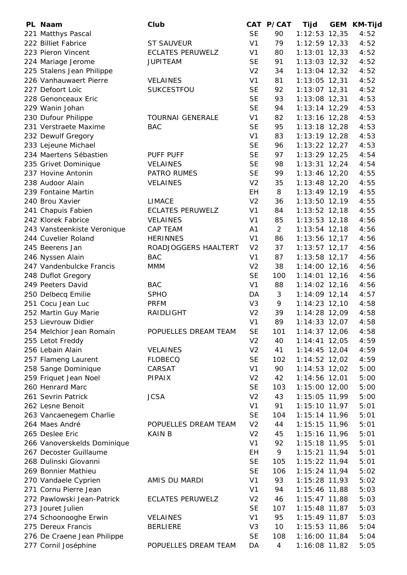| PL Naam                     | Club                    |                | CAT P/CAT      | Tijd            | GEM KM-Tijd |
|-----------------------------|-------------------------|----------------|----------------|-----------------|-------------|
| 221 Matthys Pascal          |                         | <b>SE</b>      | 90             | $1:12:53$ 12,35 | 4:52        |
| 222 Billiet Fabrice         | <b>ST SAUVEUR</b>       | V <sub>1</sub> | 79             | $1:12:59$ 12,33 | 4:52        |
| 223 Pieron Vincent          | <b>ECLATES PERUWELZ</b> | V <sub>1</sub> | 80             | $1:13:01$ 12,33 | 4:52        |
| 224 Mariage Jerome          | <b>JUPITEAM</b>         | <b>SE</b>      | 91             | $1:13:03$ 12,32 | 4:52        |
| 225 Stalens Jean Philippe   |                         | V <sub>2</sub> | 34             | $1:13:04$ 12,32 | 4:52        |
| 226 Vanhauwaert Pierre      | <b>VELAINES</b>         | V <sub>1</sub> | 81             | $1:13:05$ 12,31 | 4:52        |
| 227 Defoort Loïc            | SUKCESTFOU              | <b>SE</b>      | 92             | $1:13:07$ 12,31 | 4:52        |
| 228 Genonceaux Eric         |                         | <b>SE</b>      | 93             | $1:13:08$ 12,31 | 4:53        |
| 229 Wanin Johan             |                         | <b>SE</b>      | 94             | $1:13:14$ 12,29 | 4:53        |
| 230 Dufour Philippe         | <b>TOURNAI GENERALE</b> | V <sub>1</sub> | 82             | $1:13:16$ 12,28 | 4:53        |
| 231 Verstraete Maxime       | <b>BAC</b>              | <b>SE</b>      | 95             | $1:13:18$ 12,28 | 4:53        |
| 232 Dewulf Gregory          |                         | V <sub>1</sub> | 83             | $1:13:19$ 12,28 | 4:53        |
| 233 Lejeune Michael         |                         | <b>SE</b>      | 96             | $1:13:22$ 12,27 | 4:53        |
| 234 Maertens Sébastien      | <b>PUFF PUFF</b>        | <b>SE</b>      | 97             | $1:13:29$ 12,25 | 4:54        |
| 235 Grivet Dominique        | <b>VELAINES</b>         | <b>SE</b>      | 98             | $1:13:31$ 12,24 | 4:54        |
| 237 Hovine Antonin          | PATRO RUMES             | <b>SE</b>      | 99             | $1:13:46$ 12,20 | 4:55        |
| 238 Audoor Alain            | <b>VELAINES</b>         | V <sub>2</sub> | 35             | $1:13:48$ 12,20 | 4:55        |
| 239 Fontaine Martin         |                         | <b>EH</b>      | 8              | $1:13:49$ 12,19 | 4:55        |
| 240 Brou Xavier             | <b>LIMACE</b>           | V <sub>2</sub> | 36             | $1:13:50$ 12,19 | 4:55        |
| 241 Chapuis Fabien          | <b>ECLATES PERUWELZ</b> | V <sub>1</sub> | 84             | $1:13:52$ 12,18 | 4:55        |
| 242 Klorek Fabrice          | <b>VELAINES</b>         | V <sub>1</sub> | 85             | $1:13:53$ 12,18 | 4:56        |
| 243 Vansteenkiste Veronique | <b>CAP TEAM</b>         | A <sub>1</sub> | $\overline{2}$ | $1:13:54$ 12,18 | 4:56        |
| 244 Cuvelier Roland         | <b>HERINNES</b>         | V <sub>1</sub> | 86             | 1:13:56 12,17   | 4:56        |
| 245 Beerens Jan             | ROADJOGGERS HAALTERT    | V <sub>2</sub> | 37             | $1:13:57$ 12,17 | 4:56        |
| 246 Nyssen Alain            | <b>BAC</b>              | V <sub>1</sub> | 87             | $1:13:58$ 12,17 | 4:56        |
| 247 Vandenbulcke Francis    | <b>MMM</b>              | V <sub>2</sub> | 38             | $1:14:00$ 12,16 | 4:56        |
| 248 Duflot Gregory          |                         | <b>SE</b>      | 100            | $1:14:01$ 12,16 | 4:56        |
| 249 Peeters David           | <b>BAC</b>              | V <sub>1</sub> | 88             | $1:14:02$ 12,16 | 4:56        |
| 250 Delbecq Emilie          | <b>SPHO</b>             | DA             | 3              | $1:14:09$ 12,14 | 4:57        |
| 251 Cocu Jean Luc           | <b>PRFM</b>             | V <sub>3</sub> | 9              | $1:14:23$ 12,10 | 4:58        |
| 252 Martin Guy Marie        | RAIDLIGHT               | V <sub>2</sub> | 39             | 1:14:28 12,09   | 4:58        |
| 253 Lievrouw Didier         |                         | V <sub>1</sub> | 89             | $1:14:33$ 12,07 | 4:58        |
| 254 Melchior Jean Romain    | POPUELLES DREAM TEAM    | <b>SE</b>      | 101            | $1:14:37$ 12,06 | 4:58        |
| 255 Letot Freddy            |                         | V <sub>2</sub> | 40             | $1:14:41$ 12,05 | 4:59        |
| 256 Lebain Alain            | <b>VELAINES</b>         | V <sub>2</sub> | 41             | $1:14:45$ 12,04 | 4:59        |
| 257 Flameng Laurent         | <b>FLOBECQ</b>          | <b>SE</b>      | 102            | $1:14:52$ 12,02 | 4:59        |
| 258 Sange Dominique         | CARSAT                  | V <sub>1</sub> | 90             | $1:14:53$ 12,02 | 5:00        |
| 259 Friquet Jean Noel       | PIPAIX                  | V <sub>2</sub> | 42             | 1:14:56 12,01   | 5:00        |
| 260 Henrard Marc            |                         | <b>SE</b>      | 103            | $1:15:00$ 12,00 | 5:00        |
| 261 Sevrin Patrick          | <b>JCSA</b>             | V <sub>2</sub> | 43             | 1:15:05 11,99   | 5:00        |
| 262 Lesne Benoit            |                         | V <sub>1</sub> | 91             | 1:15:10 11,97   | 5:01        |
| 263 Vancaenegem Charlie     |                         | <b>SE</b>      | 104            | $1:15:14$ 11,96 | 5:01        |
| 264 Maes André              | POPUELLES DREAM TEAM    | V <sub>2</sub> | 44             | $1:15:15$ 11,96 | 5:01        |
| 265 Deslee Eric             | <b>KAIN B</b>           | V <sub>2</sub> | 45             | 1:15:16 11,96   | 5:01        |
| 266 Vanoverskelds Dominique |                         | V <sub>1</sub> | 92             | $1:15:18$ 11,95 | 5:01        |
| 267 Decoster Guillaume      |                         | EH             | 9              | $1:15:21$ 11,94 | 5:01        |
| 268 Dulinski Giovanni       |                         | <b>SE</b>      | 105            | 1:15:22 11,94   | 5:01        |
| 269 Bonnier Mathieu         |                         | <b>SE</b>      | 106            | $1:15:24$ 11,94 | 5:02        |
| 270 Vandaele Cyprien        | AMIS DU MARDI           | V <sub>1</sub> | 93             | $1:15:28$ 11,93 | 5:02        |
| 271 Cornu Pierre Jean       |                         | V <sub>1</sub> | 94             | 1:15:46 11,88   | 5:03        |
| 272 Pawlowski Jean-Patrick  | <b>ECLATES PERUWELZ</b> | V <sub>2</sub> | 46             | $1:15:47$ 11,88 | 5:03        |
| 273 Jouret Julien           |                         | <b>SE</b>      | 107            | $1:15:48$ 11,87 | 5:03        |
| 274 Schoonooghe Erwin       | <b>VELAINES</b>         | V <sub>1</sub> | 95             | $1:15:49$ 11,87 | 5:03        |
| 275 Dereux Francis          | <b>BERLIERE</b>         | V <sub>3</sub> | 10             | $1:15:53$ 11,86 | 5:04        |
| 276 De Craene Jean Philippe |                         | <b>SE</b>      | 108            | 1:16:00 11,84   | 5:04        |
| 277 Cornil Joséphine        | POPUELLES DREAM TEAM    | DA             | 4              | 1:16:08 11,82   | 5:05        |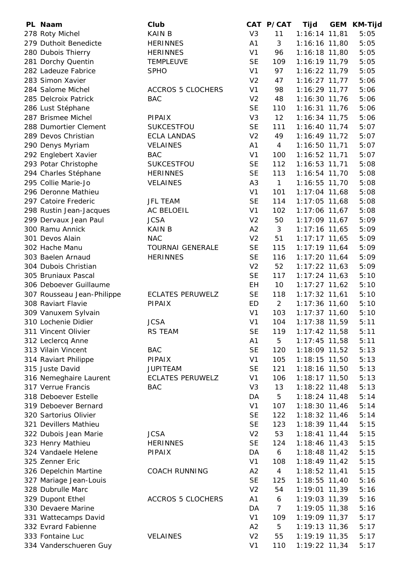| PL Naam                    | Club                     |                | CAT P/CAT      | Tijd            | <b>GEM</b> | KM-Tijd |
|----------------------------|--------------------------|----------------|----------------|-----------------|------------|---------|
| 278 Roty Michel            | <b>KAIN B</b>            | V <sub>3</sub> | 11             | 1:16:14 11,81   |            | 5:05    |
| 279 Duthoit Benedicte      | <b>HERINNES</b>          | A <sub>1</sub> | 3              | 1:16:16 11,80   |            | 5:05    |
| 280 Dubois Thierry         | <b>HERINNES</b>          | V <sub>1</sub> | 96             | $1:16:18$ 11,80 |            | 5:05    |
| 281 Dorchy Quentin         | <b>TEMPLEUVE</b>         | <b>SE</b>      | 109            | 1:16:19 11,79   |            | 5:05    |
| 282 Ladeuze Fabrice        | <b>SPHO</b>              | V <sub>1</sub> | 97             | 1:16:22 11,79   |            | 5:05    |
| 283 Simon Xavier           |                          | V <sub>2</sub> | 47             | $1:16:27$ 11,77 |            | 5:06    |
| 284 Salome Michel          | <b>ACCROS 5 CLOCHERS</b> | V <sub>1</sub> | 98             | $1:16:29$ 11,77 |            | 5:06    |
| 285 Delcroix Patrick       | <b>BAC</b>               | V <sub>2</sub> | 48             | 1:16:30 11,76   |            | 5:06    |
| 286 Lust Stéphane          |                          | <b>SE</b>      | 110            | $1:16:31$ 11,76 |            | 5:06    |
| 287 Brismee Michel         | <b>PIPAIX</b>            | V <sub>3</sub> | 12             | $1:16:34$ 11,75 |            | 5:06    |
| 288 Dumortier Clement      | SUKCESTFOU               | <b>SE</b>      | 111            | $1:16:40$ 11,74 |            | 5:07    |
| 289 Devos Christian        | <b>ECLA LANDAS</b>       | V <sub>2</sub> | 49             | 1:16:49 11,72   |            | 5:07    |
| 290 Denys Myriam           | <b>VELAINES</b>          | A1             | $\overline{4}$ | $1:16:50$ 11,71 |            | 5:07    |
| 292 Englebert Xavier       | <b>BAC</b>               | V <sub>1</sub> | 100            | 1:16:52 11,71   |            | 5:07    |
| 293 Potar Christophe       | <b>SUKCESTFOU</b>        | <b>SE</b>      | 112            | $1:16:53$ 11,71 |            | 5:08    |
| 294 Charles Stéphane       | <b>HERINNES</b>          | <b>SE</b>      | 113            | 1:16:54 11,70   |            | 5:08    |
| 295 Collie Marie-Jo        | <b>VELAINES</b>          | A <sub>3</sub> | $\mathbf{1}$   | 1:16:55 11,70   |            | 5:08    |
| 296 Deronne Mathieu        |                          | V <sub>1</sub> | 101            | $1:17:04$ 11,68 |            | 5:08    |
| 297 Catoire Frederic       | <b>JFL TEAM</b>          | <b>SE</b>      | 114            | $1:17:05$ 11,68 |            | 5:08    |
| 298 Rustin Jean-Jacques    | AC BELOEIL               | V <sub>1</sub> | 102            | $1:17:06$ 11,67 |            | 5:08    |
| 299 Dervaux Jean Paul      | <b>JCSA</b>              | V <sub>2</sub> | 50             | $1:17:09$ 11,67 |            | 5:09    |
| 300 Ramu Annick            | <b>KAIN B</b>            | A2             | 3              | 1:17:16 11,65   |            | 5:09    |
| 301 Devos Alain            | <b>NAC</b>               | V <sub>2</sub> | 51             | $1:17:17$ 11,65 |            | 5:09    |
| 302 Hache Manu             | <b>TOURNAI GENERALE</b>  | <b>SE</b>      | 115            | $1:17:19$ 11,64 |            | 5:09    |
| 303 Baelen Arnaud          | <b>HERINNES</b>          | <b>SE</b>      | 116            | 1:17:20 11,64   |            | 5:09    |
| 304 Dubois Christian       |                          | V <sub>2</sub> | 52             |                 |            |         |
|                            |                          |                |                | $1:17:22$ 11,63 |            | 5:09    |
| 305 Bruniaux Pascal        |                          | <b>SE</b>      | 117            | $1:17:24$ 11,63 |            | 5:10    |
| 306 Deboever Guillaume     |                          | EH             | 10             | $1:17:27$ 11,62 |            | 5:10    |
| 307 Rousseau Jean-Philippe | <b>ECLATES PERUWELZ</b>  | <b>SE</b>      | 118            | $1:17:32$ 11,61 |            | 5:10    |
| 308 Raviart Flavie         | <b>PIPAIX</b>            | ED             | $\overline{2}$ | $1:17:36$ 11,60 |            | 5:10    |
| 309 Vanuxem Sylvain        |                          | V <sub>1</sub> | 103            | $1:17:37$ 11,60 |            | 5:10    |
| 310 Lochenie Didier        | <b>JCSA</b>              | V <sub>1</sub> | 104            | $1:17:38$ 11,59 |            | 5:11    |
| 311 Vincent Olivier        | <b>RS TEAM</b>           | <b>SE</b>      | 119            | $1:17:42$ 11,58 |            | 5:11    |
| 312 Leclercq Anne          |                          | A1             | 5              | $1:17:45$ 11,58 |            | 5:11    |
| 313 Vilain Vincent         | <b>BAC</b>               | <b>SE</b>      | 120            | 1:18:09 11,52   |            | 5:13    |
| 314 Raviart Philippe       | PIPAIX                   | V <sub>1</sub> | 105            | 1:18:15 11,50   |            | 5:13    |
| 315 Juste David            | <b>JUPITEAM</b>          | <b>SE</b>      | 121            | 1:18:16 11,50   |            | 5:13    |
| 316 Nemeghaire Laurent     | <b>ECLATES PERUWELZ</b>  | V <sub>1</sub> | 106            | $1:18:17$ 11,50 |            | 5:13    |
| 317 Verrue Francis         | <b>BAC</b>               | V <sub>3</sub> | 13             | $1:18:22$ 11,48 |            | 5:13    |
| 318 Deboever Estelle       |                          | DA             | 5              | $1:18:24$ 11,48 |            | 5:14    |
| 319 Deboever Bernard       |                          | V <sub>1</sub> | 107            | 1:18:30 11,46   |            | 5:14    |
| 320 Sartorius Olivier      |                          | <b>SE</b>      | 122            | $1:18:32$ 11,46 |            | 5:14    |
| 321 Devillers Mathieu      |                          | <b>SE</b>      | 123            | $1:18:39$ 11,44 |            | 5:15    |
| 322 Dubois Jean Marie      | <b>JCSA</b>              | V <sub>2</sub> | 53             | $1:18:41$ 11,44 |            | 5:15    |
| 323 Henry Mathieu          | <b>HERINNES</b>          | <b>SE</b>      | 124            | $1:18:46$ 11,43 |            | 5:15    |
| 324 Vandaele Helene        | <b>PIPAIX</b>            | DA             | 6              | $1:18:48$ 11,42 |            | 5:15    |
| 325 Zenner Eric            |                          | V <sub>1</sub> | 108            | $1:18:49$ 11,42 |            | 5:15    |
| 326 Depelchin Martine      | <b>COACH RUNNING</b>     | A2             | $\overline{4}$ | $1:18:52$ 11,41 |            | 5:15    |
| 327 Mariage Jean-Louis     |                          | <b>SE</b>      | 125            | 1:18:55 11,40   |            | 5:16    |
| 328 Dubrulle Marc          |                          | V <sub>2</sub> | 54             | 1:19:01 11,39   |            | 5:16    |
| 329 Dupont Ethel           | <b>ACCROS 5 CLOCHERS</b> | A <sub>1</sub> | 6              | $1:19:03$ 11,39 |            | 5:16    |
| 330 Devaere Marine         |                          | DA             | $\overline{7}$ | 1:19:05 11,38   |            | 5:16    |
| 331 Wattecamps David       |                          | V <sub>1</sub> | 109            | 1:19:09 11,37   |            | 5:17    |
| 332 Evrard Fabienne        |                          | A2             | 5              | 1:19:13 11,36   |            | 5:17    |
| 333 Fontaine Luc           | <b>VELAINES</b>          | V <sub>2</sub> | 55             | 1:19:19 11,35   |            | 5:17    |
| 334 Vanderschueren Guy     |                          | V <sub>1</sub> | 110            | 1:19:22 11,34   |            | 5:17    |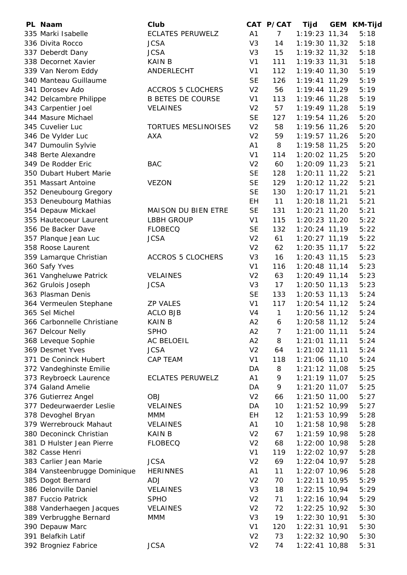| PL Naam                      | Club                       |                | CAT P/CAT      | Tijd            | <b>GEM</b> | <b>KM-Tijd</b> |
|------------------------------|----------------------------|----------------|----------------|-----------------|------------|----------------|
| 335 Marki Isabelle           | <b>ECLATES PERUWELZ</b>    | A1             | $\overline{7}$ | 1:19:23 11,34   |            | 5:18           |
| 336 Divita Rocco             | <b>JCSA</b>                | V <sub>3</sub> | 14             | $1:19:30$ 11,32 |            | 5:18           |
| 337 Deberdt Dany             | <b>JCSA</b>                | V <sub>3</sub> | 15             | 1:19:32 11,32   |            | 5:18           |
| 338 Decornet Xavier          | <b>KAIN B</b>              | V <sub>1</sub> | 111            | $1:19:33$ 11,31 |            | 5:18           |
| 339 Van Nerom Eddy           | ANDERLECHT                 | V <sub>1</sub> | 112            | 1:19:40 11,30   |            | 5:19           |
| 340 Manteau Guillaume        |                            | <b>SE</b>      | 126            | $1:19:41$ 11,29 |            | 5:19           |
| 341 Dorosev Ado              | <b>ACCROS 5 CLOCHERS</b>   | V <sub>2</sub> | 56             | $1:19:44$ 11,29 |            | 5:19           |
| 342 Delcambre Philippe       | <b>B BETES DE COURSE</b>   | V <sub>1</sub> | 113            | 1:19:46 11,28   |            | 5:19           |
| 343 Carpentier Joel          | <b>VELAINES</b>            | V <sub>2</sub> | 57             | 1:19:49 11,28   |            | 5:19           |
| 344 Masure Michael           |                            | <b>SE</b>      | 127            | 1:19:54 11,26   |            | 5:20           |
| 345 Cuvelier Luc             | <b>TORTUES MESLINOISES</b> | V <sub>2</sub> | 58             | 1:19:56 11,26   |            | 5:20           |
| 346 De Vylder Luc            | <b>AXA</b>                 | V <sub>2</sub> | 59             | $1:19:57$ 11,26 |            | 5:20           |
| 347 Dumoulin Sylvie          |                            | A1             | 8              | 1:19:58 11,25   |            | 5:20           |
| 348 Berte Alexandre          |                            | V <sub>1</sub> | 114            | 1:20:02 11,25   |            | 5:20           |
| 349 De Rodder Eric           | <b>BAC</b>                 | V <sub>2</sub> | 60             | $1:20:09$ 11,23 |            | 5:21           |
| 350 Dubart Hubert Marie      |                            | <b>SE</b>      | 128            | $1:20:11$ 11,22 |            | 5:21           |
| 351 Massart Antoine          | <b>VEZON</b>               | <b>SE</b>      | 129            | $1:20:12$ 11,22 |            | 5:21           |
| 352 Deneubourg Gregory       |                            | <b>SE</b>      | 130            | $1:20:17$ 11,21 |            | 5:21           |
| 353 Deneubourg Mathias       |                            | EH             | 11             | $1:20:18$ 11,21 |            | 5:21           |
| 354 Depauw Mickael           | MAISON DU BIEN ETRE        | <b>SE</b>      | 131            | 1:20:21 11,20   |            | 5:21           |
| 355 Hautecoeur Laurent       | <b>LBBH GROUP</b>          | V <sub>1</sub> | 115            | $1:20:23$ 11,20 |            | 5:22           |
| 356 De Backer Dave           | <b>FLOBECQ</b>             | <b>SE</b>      | 132            | 1:20:24 11,19   |            | 5:22           |
| 357 Planque Jean Luc         | <b>JCSA</b>                | V <sub>2</sub> | 61             | 1:20:27 11,19   |            | 5:22           |
| 358 Roose Laurent            |                            | V <sub>2</sub> | 62             | $1:20:35$ 11,17 |            | 5:22           |
| 359 Lamarque Christian       | <b>ACCROS 5 CLOCHERS</b>   | V <sub>3</sub> | 16             | $1:20:43$ 11,15 |            | 5:23           |
| 360 Safy Yves                |                            | V <sub>1</sub> | 116            | 1:20:48 11,14   |            | 5:23           |
| 361 Vangheluwe Patrick       | <b>VELAINES</b>            | V <sub>2</sub> | 63             | $1:20:49$ 11,14 |            | 5:23           |
| 362 Grulois Joseph           | <b>JCSA</b>                | V <sub>3</sub> | 17             | $1:20:50$ 11,13 |            | 5:23           |
| 363 Plasman Denis            |                            | <b>SE</b>      | 133            | $1:20:53$ 11,13 |            | 5:24           |
| 364 Vermeulen Stephane       | <b>ZP VALES</b>            | V <sub>1</sub> | 117            | $1:20:54$ 11,12 |            | 5:24           |
| 365 Sel Michel               | <b>ACLO BJB</b>            | V <sub>4</sub> | $\mathbf{1}$   | 1:20:56 11,12   |            | 5:24           |
| 366 Carbonnelle Christiane   | <b>KAIN B</b>              | A2             | 6              | 1:20:58 11,12   |            | 5:24           |
| 367 Delcour Nelly            | <b>SPHO</b>                | A <sub>2</sub> | 7              | $1:21:00$ 11,11 |            | 5:24           |
| 368 Leveque Sophie           | AC BELOEIL                 | A2             | 8              | 1:21:01 11,11   |            | 5:24           |
| 369 Desmet Yves              | <b>JCSA</b>                | V <sub>2</sub> | 64             | $1:21:02$ 11,11 |            | 5:24           |
| 371 De Coninck Hubert        | <b>CAP TEAM</b>            | V <sub>1</sub> | 118            | $1:21:06$ 11,10 |            | 5:24           |
| 372 Vandeghinste Emilie      |                            | DA             | 8              | $1:21:12$ 11,08 |            | 5:25           |
| 373 Reybroeck Laurence       | <b>ECLATES PERUWELZ</b>    | A1             | 9              | $1:21:19$ 11,07 |            | 5:25           |
| 374 Galand Amelie            |                            | DA             | 9              | $1:21:20$ 11,07 |            | 5:25           |
| 376 Gutierrez Angel          | <b>OBJ</b>                 | V <sub>2</sub> | 66             | $1:21:50$ 11,00 |            | 5:27           |
| 377 Dedeurwaerder Leslie     | <b>VELAINES</b>            | DA             | 10             | 1:21:52 10,99   |            | 5:27           |
| 378 Devoghel Bryan           | <b>MMM</b>                 | EH             | 12             | $1:21:53$ 10,99 |            | 5:28           |
| 379 Werrebrouck Mahaut       | <b>VELAINES</b>            | A1             | 10             | $1:21:58$ 10,98 |            | 5:28           |
| 380 Deconinck Christian      | <b>KAIN B</b>              | V <sub>2</sub> | 67             | 1:21:59 10,98   |            | 5:28           |
| 381 D Hulster Jean Pierre    | <b>FLOBECQ</b>             | V <sub>2</sub> | 68             | 1:22:00 10,98   |            | 5:28           |
| 382 Casse Henri              |                            | V <sub>1</sub> | 119            | $1:22:02$ 10,97 |            | 5:28           |
| 383 Carlier Jean Marie       | <b>JCSA</b>                | V <sub>2</sub> | 69             | 1:22:04 10,97   |            | 5:28           |
| 384 Vansteenbrugge Dominique | <b>HERINNES</b>            | A1             | 11             | 1:22:07 10,96   |            | 5:28           |
| 385 Dogot Bernard            | <b>ADJ</b>                 | V <sub>2</sub> | 70             | $1:22:11$ 10,95 |            | 5:29           |
| 386 Delonville Daniel        | <b>VELAINES</b>            | V <sub>3</sub> | 18             | $1:22:15$ 10,94 |            | 5:29           |
| 387 Fuccio Patrick           | <b>SPHO</b>                | V <sub>2</sub> | 71             | 1:22:16 10,94   |            | 5:29           |
| 388 Vanderhaegen Jacques     | <b>VELAINES</b>            | V <sub>2</sub> | 72             | 1:22:25 10,92   |            | 5:30           |
| 389 Verbrugghe Bernard       | <b>MMM</b>                 | V <sub>3</sub> | 19             | $1:22:30$ 10,91 |            | 5:30           |
| 390 Depauw Marc              |                            | V <sub>1</sub> | 120            | $1:22:31$ 10,91 |            | 5:30           |
| 391 Belafkih Latif           |                            | V <sub>2</sub> | 73             | $1:22:32$ 10,90 |            | 5:30           |
| 392 Brogniez Fabrice         | <b>JCSA</b>                | V <sub>2</sub> | 74             | $1:22:41$ 10,88 |            | 5:31           |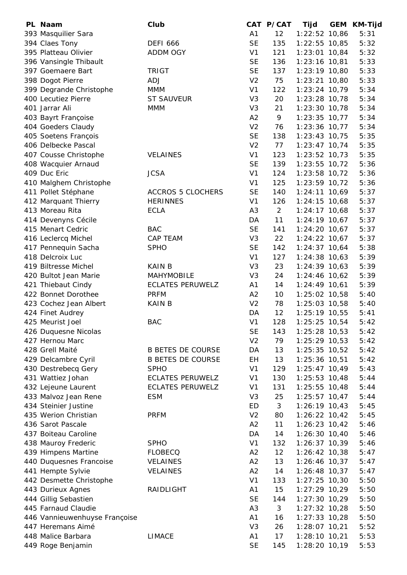| PL Naam                                     | Club                     |                | CAT P/CAT         | Tijd                               | <b>GEM</b> | <b>KM-Tijd</b> |
|---------------------------------------------|--------------------------|----------------|-------------------|------------------------------------|------------|----------------|
| 393 Masquilier Sara                         |                          | A <sub>1</sub> | 12                | 1:22:52 10,86                      |            | 5:31           |
| 394 Claes Tony                              | <b>DEFI 666</b>          | <b>SE</b>      | 135               | $1:22:55$ 10,85                    |            | 5:32           |
| 395 Platteau Olivier                        | <b>ADDM OGY</b>          | V <sub>1</sub> | 121               | $1:23:01$ 10,84                    |            | 5:32           |
| 396 Vansingle Thibault                      |                          | <b>SE</b>      | 136               | 1:23:16 10,81                      |            | 5:33           |
| 397 Goemaere Bart                           | <b>TRIGT</b>             | <b>SE</b>      | 137               | 1:23:19 10,80                      |            | 5:33           |
| 398 Dogot Pierre                            | <b>ADJ</b>               | V <sub>2</sub> | 75                | $1:23:21$ 10,80                    |            | 5:33           |
| 399 Degrande Christophe                     | <b>MMM</b>               | V <sub>1</sub> | 122               | $1:23:24$ 10,79                    |            | 5:34           |
| 400 Lecutiez Pierre                         | <b>ST SAUVEUR</b>        | V <sub>3</sub> | 20                | $1:23:28$ 10,78                    |            | 5:34           |
| 401 Jarrar Ali                              | <b>MMM</b>               | V <sub>3</sub> | 21                | $1:23:30$ 10,78                    |            | 5:34           |
| 403 Bayrt Françoise                         |                          | A2             | 9                 | $1:23:35$ 10,77                    |            | 5:34           |
| 404 Goeders Claudy                          |                          | V <sub>2</sub> | 76                | $1:23:36$ 10,77                    |            | 5:34           |
| 405 Soetens François                        |                          | <b>SE</b>      | 138               | $1:23:43$ 10,75                    |            | 5:35           |
| 406 Delbecke Pascal                         |                          | V <sub>2</sub> | 77                | $1:23:47$ 10,74                    |            | 5:35           |
| 407 Cousse Christophe                       | <b>VELAINES</b>          | V <sub>1</sub> | 123               | $1:23:52$ 10,73                    |            | 5:35           |
| 408 Wacquier Arnaud                         |                          | <b>SE</b>      | 139               | $1:23:55$ 10,72                    |            | 5:36           |
| 409 Duc Eric                                | <b>JCSA</b>              | V <sub>1</sub> | 124               | $1:23:58$ 10,72                    |            | 5:36           |
| 410 Malghem Christophe                      |                          | V <sub>1</sub> | 125               | 1:23:59 10,72                      |            | 5:36           |
| 411 Pollet Stéphane                         | <b>ACCROS 5 CLOCHERS</b> | <b>SE</b>      | 140               | $1:24:11$ 10,69                    |            | 5:37           |
| 412 Marquant Thierry                        | <b>HERINNES</b>          | V <sub>1</sub> | 126               | $1:24:15$ 10,68                    |            | 5:37           |
| 413 Moreau Rita                             | <b>ECLA</b>              | A <sub>3</sub> | $\overline{2}$    | $1:24:17$ 10,68                    |            | 5:37           |
| 414 Devenyns Cécile                         |                          | DA             | 11                | $1:24:19$ 10,67                    |            | 5:37           |
| 415 Menart Cedric                           | <b>BAC</b>               | <b>SE</b>      | 141               | $1:24:20$ 10,67                    |            | 5:37           |
| 416 Leclercq Michel                         | CAP TEAM                 | V <sub>3</sub> | 22                | $1:24:22$ 10,67                    |            | 5:37           |
| 417 Pennequin Sacha                         | <b>SPHO</b>              | <b>SE</b>      | 142               | $1:24:37$ 10,64                    |            | 5:38           |
| 418 Delcroix Luc                            |                          | V <sub>1</sub> | 127               | $1:24:38$ 10,63                    |            | 5:39           |
| 419 Biltresse Michel                        | <b>KAIN B</b>            | V <sub>3</sub> | 23                | $1:24:39$ 10,63                    |            | 5:39           |
| 420 Bultot Jean Marie                       | <b>MAHYMOBILE</b>        | V <sub>3</sub> | 24                | $1:24:46$ 10,62                    |            | 5:39           |
| 421 Thiebaut Cindy                          | <b>ECLATES PERUWELZ</b>  | A1             | 14                | $1:24:49$ 10,61                    |            | 5:39           |
| 422 Bonnet Dorothee                         | <b>PRFM</b>              | A2             | 10                | 1:25:02 10,58                      |            | 5:40           |
| 423 Cochez Jean Albert                      | <b>KAIN B</b>            | V <sub>2</sub> | 78                | $1:25:03$ 10,58                    |            | 5:40           |
| 424 Finet Audrey                            |                          | DA             | $12 \overline{ }$ | $1:25:19$ 10,55                    |            | 5:41           |
| 425 Meurist Joel                            | <b>BAC</b>               | V <sub>1</sub> | 128               | $1:25:25$ 10,54                    |            | 5:42           |
| 426 Duquesne Nicolas                        |                          | <b>SE</b>      | 143               | $1:25:28$ 10,53                    |            | 5:42           |
| 427 Hernou Marc                             |                          | V <sub>2</sub> | 79                | $1:25:29$ 10,53                    |            | 5:42           |
| 428 Grell Maité                             | <b>B BETES DE COURSE</b> | DA             | 13                | $1:25:35$ 10,52                    |            | 5:42           |
| 429 Delcambre Cyril                         | <b>B BETES DE COURSE</b> | EH             | 13                | 1:25:36 10,51                      |            | 5:42           |
| 430 Destrebecq Gery                         | <b>SPHO</b>              | V <sub>1</sub> | 129               | $1:25:47$ 10,49                    |            | 5:43           |
| 431 Wattiez Johan                           | <b>ECLATES PERUWELZ</b>  | V <sub>1</sub> | 130               | $1:25:53$ 10,48                    |            | 5:44           |
| 432 Lejeune Laurent                         | <b>ECLATES PERUWELZ</b>  | V <sub>1</sub> | 131               | $1:25:55$ 10,48                    |            | 5:44           |
| 433 Malvoz Jean Rene                        | <b>ESM</b>               | V <sub>3</sub> | 25                | $1:25:57$ 10,47                    |            | 5:44           |
| 434 Steinier Justine                        |                          | ED             | 3                 | $1:26:19$ 10,43                    |            | 5:45           |
| 435 Werion Christian                        | <b>PRFM</b>              | V <sub>2</sub> | 80                | $1:26:22$ 10,42                    |            | 5:45           |
| 436 Sarot Pascale                           |                          | A2             | 11                | $1:26:23$ 10,42                    |            | 5:46           |
| 437 Boiteau Caroline                        |                          | DA             | 14                | $1:26:30$ 10,40                    |            | 5:46           |
| 438 Mauroy Frederic                         | <b>SPHO</b>              | V <sub>1</sub> | 132               | $1:26:37$ 10,39                    |            | 5:46           |
| 439 Himpens Martine                         | <b>FLOBECQ</b>           | A2             | 12                | $1:26:42$ 10,38                    |            | 5:47           |
| 440 Duquesnes Francoise                     | <b>VELAINES</b>          | A2             | 13                | $1:26:46$ 10,37                    |            | 5:47           |
| 441 Hempte Sylvie                           | <b>VELAINES</b>          | A <sub>2</sub> | 14                | $1:26:48$ 10,37                    |            | 5:47           |
| 442 Desmette Christophe                     |                          | V <sub>1</sub> | 133               | $1:27:25$ 10,30                    |            | 5:50           |
| 443 Durieux Agnes                           | RAIDLIGHT                | A <sub>1</sub> | 15                | 1:27:29 10,29                      |            | 5:50           |
|                                             |                          | <b>SE</b>      |                   |                                    |            |                |
| 444 Gillig Sebastien<br>445 Farnaud Claudie |                          | A <sub>3</sub> | 144<br>3          | $1:27:30$ 10,29<br>$1:27:32$ 10,28 |            | 5:50<br>5:50   |
| 446 Vannieuwenhuyse Françoise               |                          | A <sub>1</sub> | 16                | $1:27:33$ 10,28                    |            | 5:50           |
| 447 Heremans Aimé                           |                          | V <sub>3</sub> | 26                | $1:28:07$ 10,21                    |            | 5:52           |
| 448 Malice Barbara                          | <b>LIMACE</b>            | A <sub>1</sub> | 17                | $1:28:10$ 10,21                    |            | 5:53           |
| 449 Roge Benjamin                           |                          | <b>SE</b>      | 145               | 1:28:20 10,19                      |            | 5:53           |
|                                             |                          |                |                   |                                    |            |                |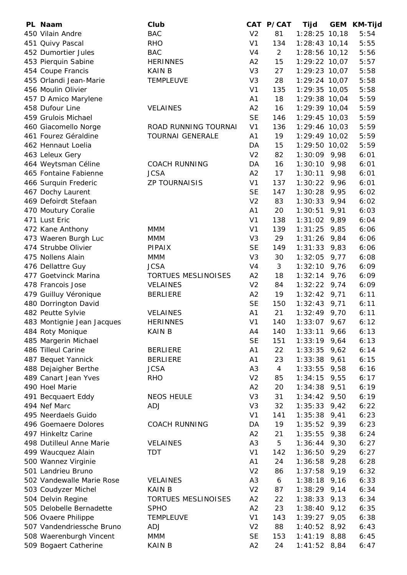| PL Naam                    | Club                       |                | CAT P/CAT      | Tijd               | <b>GEM</b> | <b>KM-Tijd</b> |
|----------------------------|----------------------------|----------------|----------------|--------------------|------------|----------------|
| 450 Vilain Andre           | <b>BAC</b>                 | V <sub>2</sub> | 81             | $1:28:25$ 10,18    |            | 5:54           |
| 451 Quivy Pascal           | <b>RHO</b>                 | V <sub>1</sub> | 134            | $1:28:43$ 10,14    |            | 5:55           |
| 452 Dumortier Jules        | <b>BAC</b>                 | V <sub>4</sub> | $\overline{2}$ | $1:28:56$ 10,12    |            | 5:56           |
| 453 Pierquin Sabine        | <b>HERINNES</b>            | A2             | 15             | 1:29:22 10,07      |            | 5:57           |
| 454 Coupe Francis          | <b>KAIN B</b>              | V <sub>3</sub> | 27             | 1:29:23 10,07      |            | 5:58           |
| 455 Orlandi Jean-Marie     | <b>TEMPLEUVE</b>           | V <sub>3</sub> | 28             | $1:29:24$ 10,07    |            | 5:58           |
| 456 Moulin Olivier         |                            | V <sub>1</sub> | 135            | 1:29:35 10,05      |            | 5:58           |
| 457 D Amico Marylene       |                            | A <sub>1</sub> | 18             | 1:29:38 10,04      |            | 5:59           |
| 458 Dufour Line            | <b>VELAINES</b>            | A2             | 16             | 1:29:39 10,04      |            | 5:59           |
| 459 Grulois Michael        |                            | <b>SE</b>      | 146            | $1:29:45$ 10,03    |            | 5:59           |
| 460 Giacomello Norge       | ROAD RUNNING TOURNAI       | V <sub>1</sub> | 136            | $1:29:46$ 10,03    |            | 5:59           |
| 461 Fourez Géraldine       | <b>TOURNAI GENERALE</b>    | A1             | 19             | 1:29:49 10,02      |            | 5:59           |
| 462 Hennaut Loelia         |                            | DA             | 15             | 1:29:50 10,02      |            | 5:59           |
| 463 Leleux Gery            |                            | V <sub>2</sub> | 82             | $1:30:09$ 9,98     |            | 6:01           |
| 464 Weytsman Céline        | <b>COACH RUNNING</b>       | DA             | 16             | 1:30:10            | 9,98       | 6:01           |
| 465 Fontaine Fabienne      | <b>JCSA</b>                | A2             | 17             | 1:30:11            | 9,98       | 6:01           |
| 466 Surquin Frederic       | <b>ZP TOURNAISIS</b>       | V <sub>1</sub> | 137            | $1:30:22$ 9,96     |            | 6:01           |
| 467 Dochy Laurent          |                            | <b>SE</b>      | 147            | $1:30:28$ 9,95     |            | 6:02           |
| 469 Defoirdt Stefaan       |                            | V <sub>2</sub> | 83             | 1:30:33            | 9,94       | 6:02           |
| 470 Moutury Coralie        |                            | A1             | 20             | 1:30:51            | 9,91       | 6:03           |
| 471 Lust Eric              |                            | V <sub>1</sub> | 138            | 1:31:02            | 9,89       | 6:04           |
| 472 Kane Anthony           | <b>MMM</b>                 | V <sub>1</sub> | 139            | 1:31:25            | 9,85       | 6:06           |
| 473 Waeren Burgh Luc       | <b>MMM</b>                 | V <sub>3</sub> | 29             | 1:31:26            | 9,84       | 6:06           |
| 474 Strubbe Olivier        | <b>PIPAIX</b>              | <b>SE</b>      | 149            | 1:31:33            | 9,83       | 6:06           |
| 475 Nollens Alain          | <b>MMM</b>                 | V <sub>3</sub> | 30             | $1:32:05$ 9,77     |            | 6:08           |
| 476 Dellattre Guy          | <b>JCSA</b>                | V <sub>4</sub> | 3              | 1:32:10            | 9,76       | 6:09           |
| 477 Goetvinck Marina       | <b>TORTUES MESLINOISES</b> | A2             | 18             | 1:32:14            | 9,76       | 6:09           |
| 478 Francois Jose          | <b>VELAINES</b>            | V <sub>2</sub> | 84             | 1:32:22            | 9,74       | 6:09           |
|                            | <b>BERLIERE</b>            | A2             | 19             | 1:32:42            |            | 6:11           |
| 479 Guilluy Véronique      |                            | <b>SE</b>      |                |                    | 9,71       |                |
| 480 Dorrington David       |                            | A1             | 150<br>21      | 1:32:43<br>1:32:49 | 9,71       | 6:11           |
| 482 Peutte Sylvie          | <b>VELAINES</b>            | V <sub>1</sub> | 140            | 1:33:07            | 9,70       | 6:11           |
| 483 Montignie Jean Jacques | <b>HERINNES</b>            |                |                |                    | 9,67       | 6:12           |
| 484 Roty Monique           | KAIN B                     | A4             | 140            | 1:33:11            | 9,66       | 6:13           |
| 485 Margerin Michael       |                            | <b>SE</b>      | 151            | 1:33:19            | 9,64       | 6:13           |
| 486 Tilleul Carine         | <b>BERLIERE</b>            | A <sub>1</sub> | 22             | 1:33:35            | 9,62       | 6:14           |
| 487 Bequet Yannick         | <b>BERLIERE</b>            | A1             | 23             | $1:33:38$ 9,61     |            | 6:15           |
| 488 Dejaigher Berthe       | <b>JCSA</b>                | A <sub>3</sub> | $\overline{4}$ | 1:33:55            | 9,58       | 6:16           |
| 489 Canart Jean Yves       | <b>RHO</b>                 | V <sub>2</sub> | 85             | 1:34:15            | 9,55       | 6:17           |
| 490 Hoel Marie             |                            | A2             | 20             | 1:34:38            | 9,51       | 6:19           |
| 491 Becquaert Eddy         | <b>NEOS HEULE</b>          | V <sub>3</sub> | 31             | 1:34:42            | 9,50       | 6:19           |
| 494 Nef Marc               | <b>ADJ</b>                 | V <sub>3</sub> | 32             | 1:35:33            | 9,42       | 6:22           |
| 495 Neerdaels Guido        |                            | V <sub>1</sub> | 141            | 1:35:38            | 9,41       | 6:23           |
| 496 Goemaere Dolores       | <b>COACH RUNNING</b>       | DA             | 19             | $1:35:52$ 9,39     |            | 6:23           |
| 497 Hinkeltz Carine        |                            | A2             | 21             | 1:35:55            | 9,38       | 6:24           |
| 498 Dutilleul Anne Marie   | <b>VELAINES</b>            | A <sub>3</sub> | 5              | 1:36:44            | 9,30       | 6:27           |
| 499 Waucquez Alain         | <b>TDT</b>                 | V <sub>1</sub> | 142            | 1:36:50            | 9,29       | 6:27           |
| 500 Wannez Virginie        |                            | A1             | 24             | $1:36:58$ 9,28     |            | 6:28           |
| 501 Landrieu Bruno         |                            | V <sub>2</sub> | 86             | 1:37:58            | 9,19       | 6:32           |
| 502 Vandewalle Marie Rose  | <b>VELAINES</b>            | A <sub>3</sub> | 6              | 1:38:18            | 9,16       | 6:33           |
| 503 Coudyzer Michel        | <b>KAIN B</b>              | V <sub>2</sub> | 87             | 1:38:29            | 9,14       | 6:34           |
| 504 Delvin Regine          | <b>TORTUES MESLINOISES</b> | A2             | 22             | 1:38:33            | 9,13       | 6:34           |
| 505 Delobelle Bernadette   | <b>SPHO</b>                | A2             | 23             | 1:38:40            | 9,12       | 6:35           |
| 506 Ovaere Philippe        | <b>TEMPLEUVE</b>           | V <sub>1</sub> | 143            | 1:39:27            | 9,05       | 6:38           |
| 507 Vandendriessche Bruno  | <b>ADJ</b>                 | V <sub>2</sub> | 88             | $1:40:52$ 8,92     |            | 6:43           |
| 508 Waerenburgh Vincent    | <b>MMM</b>                 | <b>SE</b>      | 153            | $1:41:19$ 8,88     |            | 6:45           |
| 509 Bogaert Catherine      | KAIN B                     | A2             | 24             | $1:41:52$ 8,84     |            | 6:47           |